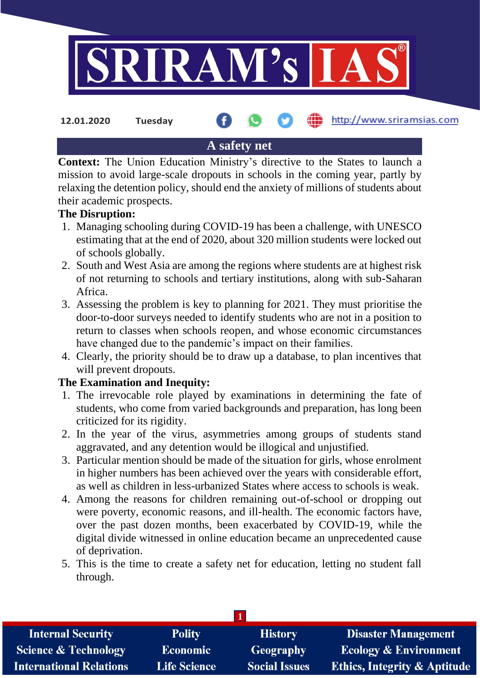

**12.01.2020 Tuesday**

## http://www.sriramsias.com

# **A safety net**

**Context:** The Union Education Ministry's directive to the States to launch a mission to avoid large-scale dropouts in schools in the coming year, partly by relaxing the detention policy, should end the anxiety of millions of students about their academic prospects.

## **The Disruption:**

- 1. Managing schooling during COVID-19 has been a challenge, with UNESCO estimating that at the end of 2020, about 320 million students were locked out of schools globally.
- 2. South and West Asia are among the regions where students are at highest risk of not returning to schools and tertiary institutions, along with sub-Saharan Africa.
- 3. Assessing the problem is key to planning for 2021. They must prioritise the door-to-door surveys needed to identify students who are not in a position to return to classes when schools reopen, and whose economic circumstances have changed due to the pandemic's impact on their families.
- 4. Clearly, the priority should be to draw up a database, to plan incentives that will prevent dropouts.

## **The Examination and Inequity:**

- 1. The irrevocable role played by examinations in determining the fate of students, who come from varied backgrounds and preparation, has long been criticized for its rigidity.
- 2. In the year of the virus, asymmetries among groups of students stand aggravated, and any detention would be illogical and unjustified.
- 3. Particular mention should be made of the situation for girls, whose enrolment in higher numbers has been achieved over the years with considerable effort, as well as children in less-urbanized States where access to schools is weak.
- 4. Among the reasons for children remaining out-of-school or dropping out were poverty, economic reasons, and ill-health. The economic factors have, over the past dozen months, been exacerbated by COVID-19, while the digital divide witnessed in online education became an unprecedented cause of deprivation.
- 5. This is the time to create a safety net for education, letting no student fall through.

| <b>Internal Security</b>        | <b>Polity</b>       | <b>History</b>       | <b>Disaster Management</b>              |  |  |
|---------------------------------|---------------------|----------------------|-----------------------------------------|--|--|
| <b>Science &amp; Technology</b> | <b>Economic</b>     | Geography            | <b>Ecology &amp; Environment</b>        |  |  |
| <b>International Relations</b>  | <b>Life Science</b> | <b>Social Issues</b> | <b>Ethics, Integrity &amp; Aptitude</b> |  |  |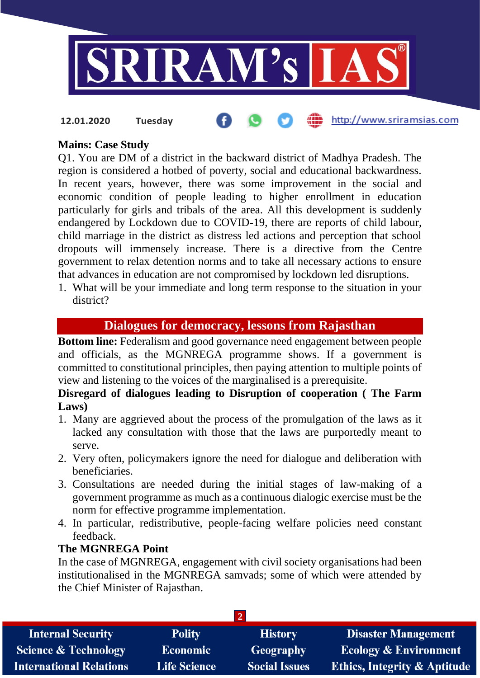

#### http://www.sriramsias.com **12.01.2020 Tuesday**

## **Mains: Case Study**

Q1. You are DM of a district in the backward district of Madhya Pradesh. The region is considered a hotbed of poverty, social and educational backwardness. In recent years, however, there was some improvement in the social and economic condition of people leading to higher enrollment in education particularly for girls and tribals of the area. All this development is suddenly endangered by Lockdown due to COVID-19, there are reports of child labour, child marriage in the district as distress led actions and perception that school dropouts will immensely increase. There is a directive from the Centre government to relax detention norms and to take all necessary actions to ensure that advances in education are not compromised by lockdown led disruptions.

1. What will be your immediate and long term response to the situation in your district?

## **Dialogues for democracy, lessons from Rajasthan**

**Bottom line:** Federalism and good governance need engagement between people and officials, as the MGNREGA programme shows. If a government is committed to constitutional principles, then paying attention to multiple points of view and listening to the voices of the marginalised is a prerequisite.

## **Disregard of dialogues leading to Disruption of cooperation ( The Farm Laws)**

- 1. Many are aggrieved about the process of the promulgation of the laws as it lacked any consultation with those that the laws are purportedly meant to serve.
- 2. Very often, policymakers ignore the need for dialogue and deliberation with beneficiaries.
- 3. Consultations are needed during the initial stages of law-making of a government programme as much as a continuous dialogic exercise must be the norm for effective programme implementation.
- 4. In particular, redistributive, people-facing welfare policies need constant feedback.

#### **The MGNREGA Point**

In the case of MGNREGA, engagement with civil society organisations had been institutionalised in the MGNREGA samvads; some of which were attended by the Chief Minister of Rajasthan.

| <b>Internal Security</b>        | <b>Polity</b>       | <b>History</b>       | <b>Disaster Management</b>              |  |  |  |
|---------------------------------|---------------------|----------------------|-----------------------------------------|--|--|--|
| <b>Science &amp; Technology</b> | <b>Economic</b>     | <b>Geography</b>     | <b>Ecology &amp; Environment</b>        |  |  |  |
| <b>International Relations</b>  | <b>Life Science</b> | <b>Social Issues</b> | <b>Ethics, Integrity &amp; Aptitude</b> |  |  |  |
|                                 |                     |                      |                                         |  |  |  |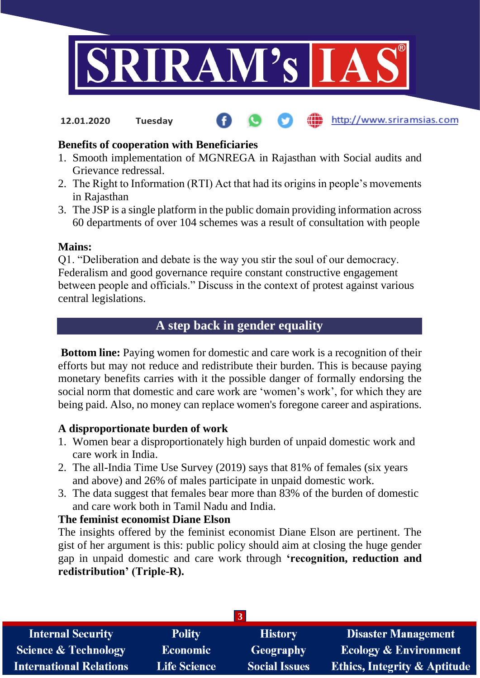

http://www.sriramsias.com **12.01.2020 Tuesday**

## **Benefits of cooperation with Beneficiaries**

- 1. Smooth implementation of MGNREGA in Rajasthan with Social audits and Grievance redressal.
- 2. The Right to Information (RTI) Act that had its origins in people's movements in Rajasthan
- 3. The JSP is a single platform in the public domain providing information across 60 departments of over 104 schemes was a result of consultation with people

#### **Mains:**

Q1. "Deliberation and debate is the way you stir the soul of our democracy. Federalism and good governance require constant constructive engagement between people and officials." Discuss in the context of protest against various central legislations.

# **A step back in gender equality**

**Bottom line:** Paying women for domestic and care work is a recognition of their efforts but may not reduce and redistribute their burden. This is because paying monetary benefits carries with it the possible danger of formally endorsing the social norm that domestic and care work are 'women's work', for which they are being paid. Also, no money can replace women's foregone career and aspirations.

## **A disproportionate burden of work**

- 1. Women bear a disproportionately high burden of unpaid domestic work and care work in India.
- 2. The all-India Time Use Survey (2019) says that 81% of females (six years and above) and 26% of males participate in unpaid domestic work.
- 3. The data suggest that females bear more than 83% of the burden of domestic and care work both in Tamil Nadu and India.

## **The feminist economist Diane Elson**

The insights offered by the feminist economist Diane Elson are pertinent. The gist of her argument is this: public policy should aim at closing the huge gender gap in unpaid domestic and care work through **'recognition, reduction and redistribution' (Triple-R).**

| 3.                              |                     |                      |                                         |  |  |  |
|---------------------------------|---------------------|----------------------|-----------------------------------------|--|--|--|
| <b>Internal Security</b>        | <b>Polity</b>       | <b>History</b>       | <b>Disaster Management</b>              |  |  |  |
| <b>Science &amp; Technology</b> | <b>Economic</b>     | <b>Geography</b>     | <b>Ecology &amp; Environment</b>        |  |  |  |
| <b>International Relations</b>  | <b>Life Science</b> | <b>Social Issues</b> | <b>Ethics, Integrity &amp; Aptitude</b> |  |  |  |